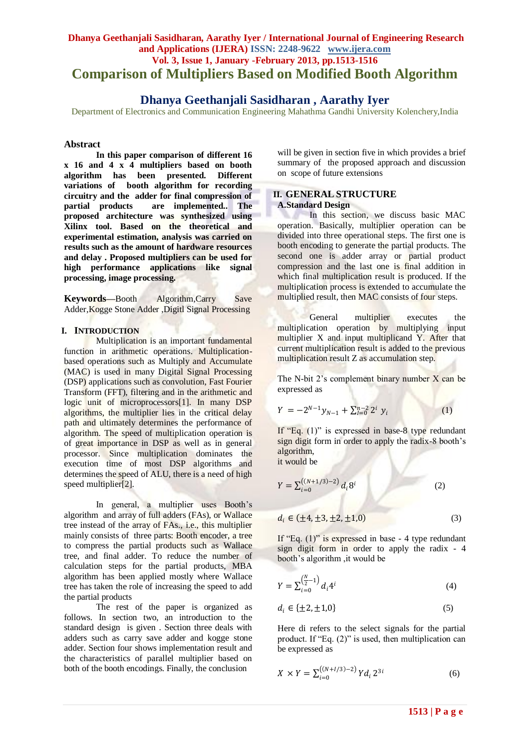# **Dhanya Geethanjali Sasidharan, Aarathy Iyer / International Journal of Engineering Research and Applications (IJERA) ISSN: 2248-9622 www.ijera.com Vol. 3, Issue 1, January -February 2013, pp.1513-1516 Comparison of Multipliers Based on Modified Booth Algorithm**

# **Dhanya Geethanjali Sasidharan , Aarathy Iyer**

Department of Electronics and Communication Engineering Mahathma Gandhi University Kolenchery,India

### **Abstract**

**In this paper comparison of different 16 x 16 and 4 x 4 multipliers based on booth algorithm has been presented. Different variations of booth algorithm for recording circuitry and the adder for final compression of**  are implemented.. The **proposed architecture was synthesized using Xilinx tool. Based on the theoretical and experimental estimation, analysis was carried on results such as the amount of hardware resources and delay . Proposed multipliers can be used for high performance applications like signal processing, image processing.**

**Keywords***—*Booth Algorithm,Carry Save Adder,Kogge Stone Adder ,Digitl Signal Processing

### **I. INTRODUCTION**

Multiplication is an important fundamental function in arithmetic operations. Multiplicationbased operations such as Multiply and Accumulate (MAC) is used in many Digital Signal Processing (DSP) applications such as convolution, Fast Fourier Transform (FFT), filtering and in the arithmetic and logic unit of microprocessors[1]. In many DSP algorithms, the multiplier lies in the critical delay path and ultimately determines the performance of algorithm. The speed of multiplication operation is of great importance in DSP as well as in general processor. Since multiplication dominates the execution time of most DSP algorithms and determines the speed of ALU, there is a need of high speed multiplier[2].

In general, a multiplier uses Booth"s algorithm and array of full adders (FAs), or Wallace tree instead of the array of FAs., i.e., this multiplier mainly consists of three parts: Booth encoder, a tree to compress the partial products such as Wallace tree, and final adder. To reduce the number of calculation steps for the partial products, MBA algorithm has been applied mostly where Wallace tree has taken the role of increasing the speed to add the partial products

The rest of the paper is organized as follows. In section two, an introduction to the standard design is given . Section three deals with adders such as carry save adder and kogge stone adder. Section four shows implementation result and the characteristics of parallel multiplier based on both of the booth encodings. Finally, the conclusion

will be given in section five in which provides a brief summary of the proposed approach and discussion on scope of future extensions

### **II. GENERAL STRUCTURE A.Standard Design**

In this section, we discuss basic MAC operation. Basically, multiplier operation can be divided into three operational steps. The first one is booth encoding to generate the partial products. The second one is adder array or partial product compression and the last one is final addition in which final multiplication result is produced. If the multiplication process is extended to accumulate the multiplied result, then MAC consists of four steps.

General multiplier executes the multiplication operation by multiplying input multiplier X and input multiplicand Y. After that current multiplication result is added to the previous multiplication result Z as accumulation step.

The N-bit 2's complement binary number X can be expressed as

$$
Y = -2^{N-1}y_{N-1} + \sum_{i=0}^{n-2} 2^i y_i \tag{1}
$$

If "Eq. (1)" is expressed in base-8 type redundant sign digit form in order to apply the radix-8 booth's algorithm, it would be

$$
Y = \sum_{i=0}^{((N+1/3)-2)} d_i 8^i
$$
 (2)

$$
d_i \in (\pm 4, \pm 3, \pm 2, \pm 1, 0) \tag{3}
$$

If "Eq.  $(1)$ " is expressed in base - 4 type redundant sign digit form in order to apply the radix - 4 booth"s algorithm ,it would be

$$
Y = \sum_{i=0}^{\left(\frac{N}{2} - 1\right)} d_i 4^i \tag{4}
$$

$$
d_i \in \{\pm 2, \pm 1, 0\} \tag{5}
$$

Here di refers to the select signals for the partial product. If "Eq. (2)" is used, then multiplication can be expressed as

$$
X \times Y = \sum_{i=0}^{((N+1/3)-2)} Y d_i \, 2^{3i} \tag{6}
$$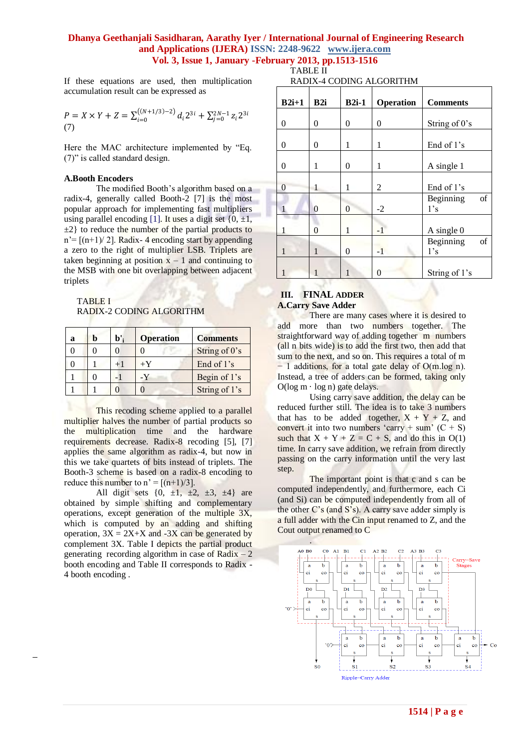### **Dhanya Geethanjali Sasidharan, Aarathy Iyer / International Journal of Engineering Research and Applications (IJERA) ISSN: 2248-9622 www.ijera.com Vol. 3, Issue 1, January -February 2013, pp.1513-1516**

TABLE II

If these equations are used, then multiplication accumulation result can be expressed as

$$
P = X \times Y + Z = \sum_{i=0}^{((N+1/3)-2)} d_i 2^{3i} + \sum_{j=0}^{2N-1} z_i 2^{3i}
$$
  
(7)

Here the MAC architecture implemented by "Eq. (7)" is called standard design.

#### **A.Booth Encoders**

The modified Booth"s algorithm based on a radix-4, generally called Booth-2 [7] is the most popular approach for implementing fast multipliers using parallel encoding [1]. It uses a digit set  $\{0, \pm 1, \ldots\}$  $\pm 2$ } to reduce the number of the partial products to  $n' = \frac{(n+1)}{2}$ . Radix-4 encoding start by appending a zero to the right of multiplier LSB. Triplets are taken beginning at position  $x - 1$  and continuing to the MSB with one bit overlapping between adjacent triplets

TABLE I RADIX-2 CODING ALGORITHM

| a | b | $\mathbf{b}'$ | <b>Operation</b> | <b>Comments</b> |
|---|---|---------------|------------------|-----------------|
|   |   |               |                  | String of 0's   |
|   |   | $+1$          | $+Y$             | End of 1's      |
|   |   |               |                  | Begin of 1's    |
|   |   |               |                  | String of 1's   |

This recoding scheme applied to a parallel multiplier halves the number of partial products so the multiplication time and the hardware requirements decrease. Radix-8 recoding [5], [7] applies the same algorithm as radix-4, but now in this we take quartets of bits instead of triplets. The Booth-3 scheme is based on a radix-8 encoding to reduce this number to  $n' = [(n+1)/3]$ .

All digit sets  $\{0, \pm 1, \pm 2, \pm 3, \pm 4\}$  are obtained by simple shifting and complementary operations, except generation of the multiple 3X, which is computed by an adding and shifting operation,  $3X = 2X+X$  and  $-3X$  can be generated by complement 3X. Table I depicts the partial product generating recording algorithm in case of Radix  $-2$ booth encoding and Table II corresponds to Radix - 4 booth encoding .

RADIX-4 CODING ALGORITHM

| $B2i+1$  | B2i | $B2i-1$ | Operation      | <b>Comments</b>        |
|----------|-----|---------|----------------|------------------------|
| 0        | 0   | 0       | 0              | String of 0's          |
| 0        | 0   | 1       | 1              | End of 1's             |
| $\theta$ | 1   | 0       | 1              | A single 1             |
| $\theta$ | 1   | 1       | $\overline{c}$ | End of 1's             |
|          | 0   | 0       | $-2$           | of<br>Beginning<br>1's |
|          | 0   | 1       | $-1$           | A single $0$           |
| 1        | 1   | 0       | $-1$           | of<br>Beginning<br>1's |
|          | 1   | 1       | $\mathbf{0}$   | String of 1's          |

### **III. FINAL ADDER A.Carry Save Adder**

There are many cases where it is desired to add more than two numbers together. The straightforward way of adding together m numbers (all n bits wide) is to add the first two, then add that sum to the next, and so on. This requires a total of m − 1 additions, for a total gate delay of O(m.log n). Instead, a tree of adders can be formed, taking only  $O(\log m \cdot \log n)$  gate delays.

Using carry save addition, the delay can be reduced further still. The idea is to take 3 numbers that has to be added together,  $X + Y + Z$ , and convert it into two numbers 'carry + sum'  $(C + S)$ such that  $X + Y + Z = C + S$ , and do this in O(1) time. In carry save addition, we refrain from directly passing on the carry information until the very last step.

The important point is that c and s can be computed independently, and furthermore, each Ci (and Si) can be computed independently from all of the other C's (and S's). A carry save adder simply is a full adder with the Cin input renamed to Z, and the Cout output renamed to C

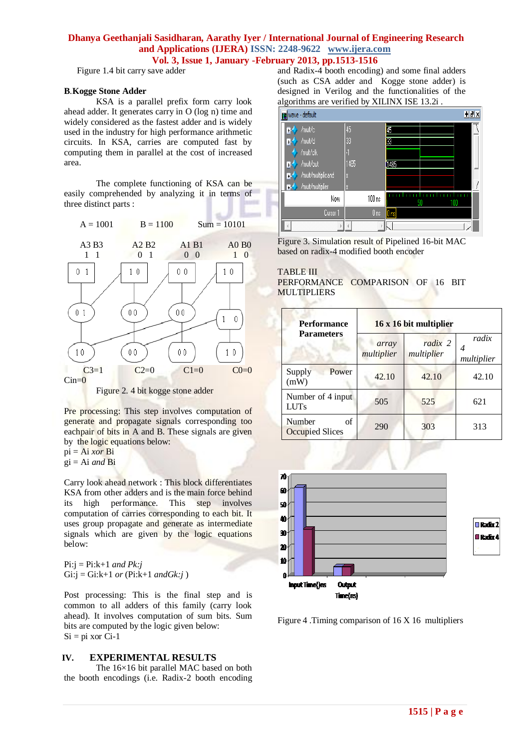### **Dhanya Geethanjali Sasidharan, Aarathy Iyer / International Journal of Engineering Research and Applications (IJERA) ISSN: 2248-9622 www.ijera.com Vol. 3, Issue 1, January -February 2013, pp.1513-1516**

Figure 1.4 bit carry save adder

### **B***.***Kogge Stone Adder**

KSA is a parallel prefix form carry look ahead adder. It generates carry in O (log n) time and widely considered as the fastest adder and is widely used in the industry for high performance arithmetic circuits. In KSA, carries are computed fast by computing them in parallel at the cost of increased area.

The complete functioning of KSA can be easily comprehended by analyzing it in terms of three distinct parts :



Figure 2. 4 bit kogge stone adder

Pre processing: This step involves computation of generate and propagate signals corresponding too eachpair of bits in A and B. These signals are given by the logic equations below:

pi = Ai *xor* Bi

 $gi = Ai \text{ and } Bi$ 

Carry look ahead network : This block differentiates KSA from other adders and is the main force behind its high performance. This step involves computation of carries corresponding to each bit. It uses group propagate and generate as intermediate signals which are given by the logic equations below:

Pi:j = Pi:k+1 *and Pk:j* Gi:j = Gi:k+1 *or* (Pi:k+1 *andGk:j* )

Post processing: This is the final step and is common to all adders of this family (carry look ahead). It involves computation of sum bits. Sum bits are computed by the logic given below:  $Si = pi$  xor  $Ci-1$ 

## **IV. EXPERIMENTAL RESULTS**

The 16×16 bit parallel MAC based on both the booth encodings (i.e. Radix-2 booth encoding and Radix-4 booth encoding) and some final adders (such as CSA adder and Kogge stone adder) is designed in Verilog and the functionalities of the algorithms are verified by XILINX ISE 13.2i .



Figure 3. Simulation result of Pipelined 16-bit MAC based on radix-4 modified booth encoder

#### TABLE III

PERFORMANCE COMPARISON OF 16 BIT MULTIPLIERS

| <b>Performance</b>                     | 16 x 16 bit multiplier |                       |                          |  |  |
|----------------------------------------|------------------------|-----------------------|--------------------------|--|--|
| <b>Parameters</b>                      | array<br>multiplier    | radix 2<br>multiplier | radix<br>4<br>multiplier |  |  |
| Supply<br>Power<br>(mW)                | 42.10                  | 42.10                 | 42.10                    |  |  |
| Number of 4 input<br><b>LUTs</b>       | 505                    | 525                   | 621                      |  |  |
| of<br>Number<br><b>Occupied Slices</b> | 290                    | 303                   | 313                      |  |  |



Figure 4 .Timing comparison of 16 X 16 multipliers